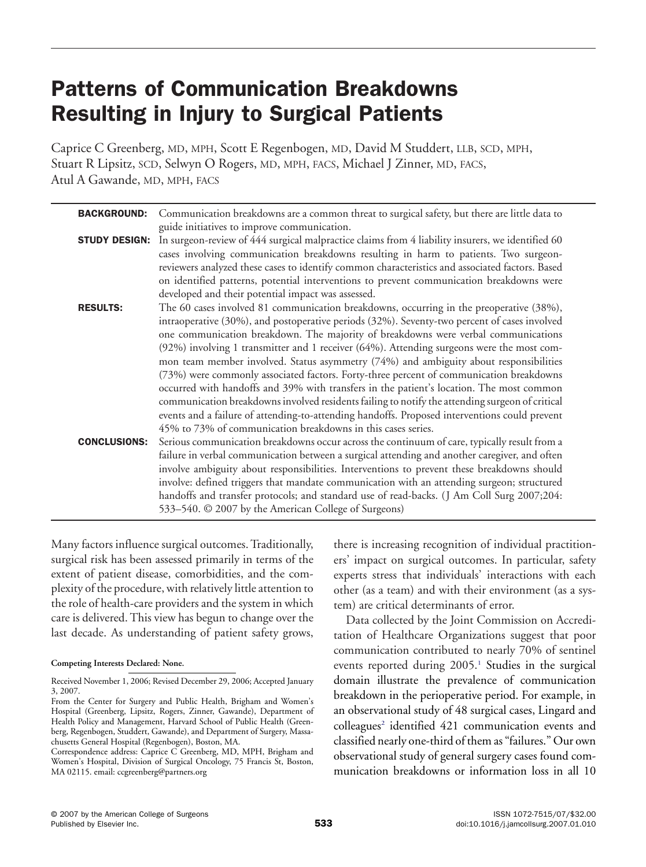# Patterns of Communication Breakdowns Resulting in Injury to Surgical Patients

Caprice C Greenberg, MD, MPH, Scott E Regenbogen, MD, David M Studdert, LLB, SCD, MPH, Stuart R Lipsitz, SCD, Selwyn O Rogers, MD, MPH, FACS, Michael J Zinner, MD, FACS, Atul A Gawande, MD, MPH, FACS

| <b>BACKGROUND:</b>   | Communication breakdowns are a common threat to surgical safety, but there are little data to                                                                                                                                                                                                                                                                                                                                                                                                                                                                                                                                                                                                                                                                                                                                                                                                                                                                                                              |
|----------------------|------------------------------------------------------------------------------------------------------------------------------------------------------------------------------------------------------------------------------------------------------------------------------------------------------------------------------------------------------------------------------------------------------------------------------------------------------------------------------------------------------------------------------------------------------------------------------------------------------------------------------------------------------------------------------------------------------------------------------------------------------------------------------------------------------------------------------------------------------------------------------------------------------------------------------------------------------------------------------------------------------------|
| <b>STUDY DESIGN:</b> | guide initiatives to improve communication.<br>In surgeon-review of 444 surgical malpractice claims from 4 liability insurers, we identified 60<br>cases involving communication breakdowns resulting in harm to patients. Two surgeon-                                                                                                                                                                                                                                                                                                                                                                                                                                                                                                                                                                                                                                                                                                                                                                    |
| <b>RESULTS:</b>      | reviewers analyzed these cases to identify common characteristics and associated factors. Based<br>on identified patterns, potential interventions to prevent communication breakdowns were<br>developed and their potential impact was assessed.<br>The 60 cases involved 81 communication breakdowns, occurring in the preoperative (38%),<br>intraoperative (30%), and postoperative periods (32%). Seventy-two percent of cases involved<br>one communication breakdown. The majority of breakdowns were verbal communications<br>(92%) involving 1 transmitter and 1 receiver (64%). Attending surgeons were the most com-<br>mon team member involved. Status asymmetry (74%) and ambiguity about responsibilities                                                                                                                                                                                                                                                                                   |
| <b>CONCLUSIONS:</b>  | (73%) were commonly associated factors. Forty-three percent of communication breakdowns<br>occurred with handoffs and 39% with transfers in the patient's location. The most common<br>communication breakdowns involved residents failing to notify the attending surgeon of critical<br>events and a failure of attending-to-attending handoffs. Proposed interventions could prevent<br>45% to 73% of communication breakdowns in this cases series.<br>Serious communication breakdowns occur across the continuum of care, typically result from a<br>failure in verbal communication between a surgical attending and another caregiver, and often<br>involve ambiguity about responsibilities. Interventions to prevent these breakdowns should<br>involve: defined triggers that mandate communication with an attending surgeon; structured<br>handoffs and transfer protocols; and standard use of read-backs. (J Am Coll Surg 2007;204:<br>533–540. © 2007 by the American College of Surgeons) |

Many factors influence surgical outcomes. Traditionally, surgical risk has been assessed primarily in terms of the extent of patient disease, comorbidities, and the complexity of the procedure, with relatively little attention to the role of health-care providers and the system in which care is delivered. This view has begun to change over the last decade. As understanding of patient safety grows,

there is increasing recognition of individual practitioners' impact on surgical outcomes. In particular, safety experts stress that individuals' interactions with each other (as a team) and with their environment (as a system) are critical determinants of error.

Data collected by the Joint Commission on Accreditation of Healthcare Organizations suggest that poor communication contributed to nearly 70% of sentinel events reported during  $2005<sup>1</sup>$  Studies in the surgical domain illustrate the prevalence of communication breakdown in the perioperative period. For example, in an observational study of 48 surgical cases, Lingard and  $\text{colle}$ agues<sup>2</sup> identified 421 communication events and classified nearly one-third of them as "failures." Our own observational study of general surgery cases found communication breakdowns or information loss in all 10

**Competing Interests Declared: None.**

Received November 1, 2006; Revised December 29, 2006; Accepted January 3, 2007.

From the Center for Surgery and Public Health, Brigham and Women's Hospital (Greenberg, Lipsitz, Rogers, Zinner, Gawande), Department of Health Policy and Management, Harvard School of Public Health (Greenberg, Regenbogen, Studdert, Gawande), and Department of Surgery, Massachusetts General Hospital (Regenbogen), Boston, MA.

Correspondence address: Caprice C Greenberg, MD, MPH, Brigham and Women's Hospital, Division of Surgical Oncology, 75 Francis St, Boston, MA 02115. email: ccgreenberg@partners.org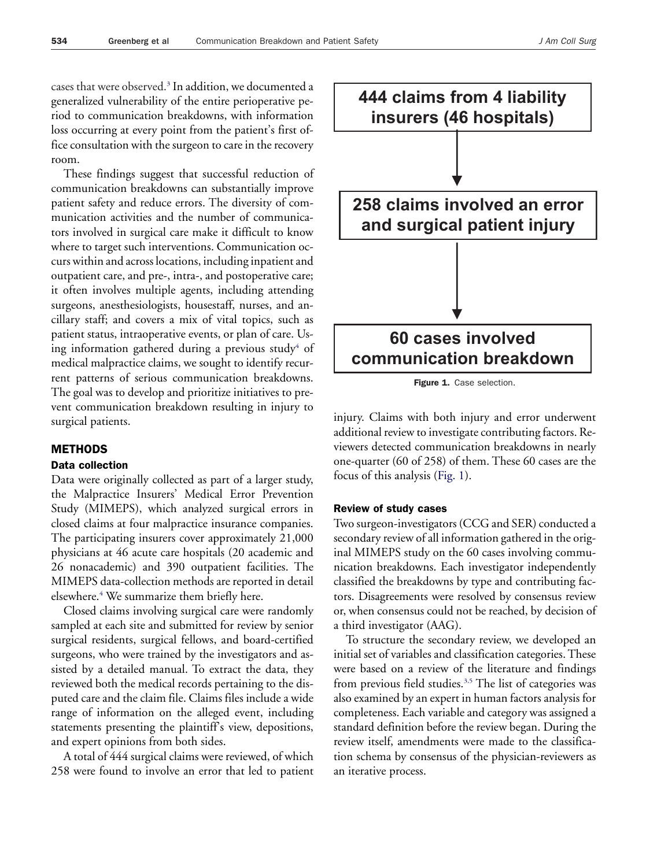cases that were observed.<sup>3</sup> In addition, we documented a generalized vulnerability of the entire perioperative period to communication breakdowns, with information loss occurring at every point from the patient's first office consultation with the surgeon to care in the recovery room.

These findings suggest that successful reduction of communication breakdowns can substantially improve patient safety and reduce errors. The diversity of communication activities and the number of communicators involved in surgical care make it difficult to know where to target such interventions. Communication occurs within and across locations, including inpatient and outpatient care, and pre-, intra-, and postoperative care; it often involves multiple agents, including attending surgeons, anesthesiologists, housestaff, nurses, and ancillary staff; and covers a mix of vital topics, such as patient status, intraoperative events, or plan of care. Using information gathered during a previous study<sup>4</sup> of medical malpractice claims, we sought to identify recurrent patterns of serious communication breakdowns. The goal was to develop and prioritize initiatives to prevent communication breakdown resulting in injury to surgical patients.

## METHODS

#### Data collection

Data were originally collected as part of a larger study, the Malpractice Insurers' Medical Error Prevention Study (MIMEPS), which analyzed surgical errors in closed claims at four malpractice insurance companies. The participating insurers cover approximately 21,000 physicians at 46 acute care hospitals (20 academic and 26 nonacademic) and 390 outpatient facilities. The MIMEPS data-collection methods are reported in detail elsewhere.<sup>4</sup> We summarize them briefly here.

Closed claims involving surgical care were randomly sampled at each site and submitted for review by senior surgical residents, surgical fellows, and board-certified surgeons, who were trained by the investigators and assisted by a detailed manual. To extract the data, they reviewed both the medical records pertaining to the disputed care and the claim file. Claims files include a wide range of information on the alleged event, including statements presenting the plaintiff's view, depositions, and expert opinions from both sides.

A total of 444 surgical claims were reviewed, of which 258 were found to involve an error that led to patient



Figure 1. Case selection.

injury. Claims with both injury and error underwent additional review to investigate contributing factors. Reviewers detected communication breakdowns in nearly one-quarter (60 of 258) of them. These 60 cases are the focus of this analysis (Fig. 1).

## Review of study cases

Two surgeon-investigators (CCG and SER) conducted a secondary review of all information gathered in the original MIMEPS study on the 60 cases involving communication breakdowns. Each investigator independently classified the breakdowns by type and contributing factors. Disagreements were resolved by consensus review or, when consensus could not be reached, by decision of a third investigator (AAG).

To structure the secondary review, we developed an initial set of variables and classification categories. These were based on a review of the literature and findings from previous field studies.<sup>3,5</sup> The list of categories was also examined by an expert in human factors analysis for completeness. Each variable and category was assigned a standard definition before the review began. During the review itself, amendments were made to the classification schema by consensus of the physician-reviewers as an iterative process.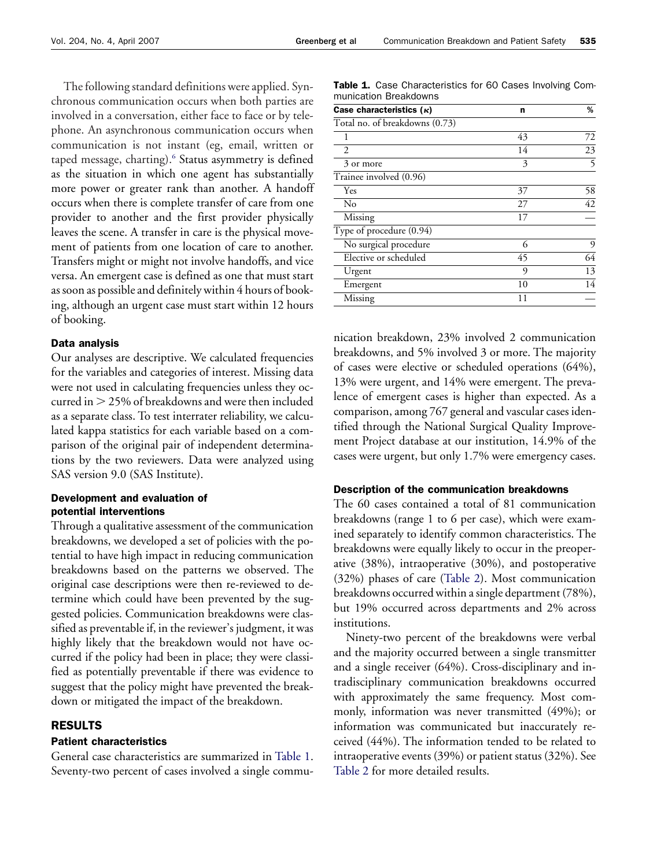<span id="page-2-0"></span>The following standard definitions were applied. Synchronous communication occurs when both parties are involved in a conversation, either face to face or by telephone. An asynchronous communication occurs when communication is not instant (eg, email, written or taped message, charting).<sup>6</sup> Status asymmetry is defined as the situation in which one agent has substantially more power or greater rank than another. A handoff occurs when there is complete transfer of care from one provider to another and the first provider physically leaves the scene. A transfer in care is the physical movement of patients from one location of care to another. Transfers might or might not involve handoffs, and vice versa. An emergent case is defined as one that must start as soon as possible and definitely within 4 hours of booking, although an urgent case must start within 12 hours of booking.

## Data analysis

Our analyses are descriptive. We calculated frequencies for the variables and categories of interest. Missing data were not used in calculating frequencies unless they occurred in  $>$  25% of breakdowns and were then included as a separate class. To test interrater reliability, we calculated kappa statistics for each variable based on a comparison of the original pair of independent determinations by the two reviewers. Data were analyzed using SAS version 9.0 (SAS Institute).

## Development and evaluation of potential interventions

Through a qualitative assessment of the communication breakdowns, we developed a set of policies with the potential to have high impact in reducing communication breakdowns based on the patterns we observed. The original case descriptions were then re-reviewed to determine which could have been prevented by the suggested policies. Communication breakdowns were classified as preventable if, in the reviewer's judgment, it was highly likely that the breakdown would not have occurred if the policy had been in place; they were classified as potentially preventable if there was evidence to suggest that the policy might have prevented the breakdown or mitigated the impact of the breakdown.

# RESULTS

# Patient characteristics

General case characteristics are summarized in Table 1. Seventy-two percent of cases involved a single commu-

Table 1. Case Characteristics for 60 Cases Involving Communication Breakdowns

| Case characteristics $(\kappa)$ | n  | %  |
|---------------------------------|----|----|
| Total no. of breakdowns (0.73)  |    |    |
| 1                               | 43 | 72 |
| 2                               | 14 | 23 |
| 3 or more                       | 3  | 5  |
| Trainee involved (0.96)         |    |    |
| Yes                             | 37 | 58 |
| No                              | 27 | 42 |
| Missing                         | 17 |    |
| Type of procedure (0.94)        |    |    |
| No surgical procedure           | 6  | 9  |
| Elective or scheduled           | 45 | 64 |
| Urgent                          | 9  | 13 |
| Emergent                        | 10 | 14 |
| Missing                         | 11 |    |

nication breakdown, 23% involved 2 communication breakdowns, and 5% involved 3 or more. The majority of cases were elective or scheduled operations (64%), 13% were urgent, and 14% were emergent. The prevalence of emergent cases is higher than expected. As a comparison, among 767 general and vascular cases identified through the National Surgical Quality Improvement Project database at our institution, 14.9% of the cases were urgent, but only 1.7% were emergency cases.

## Description of the communication breakdowns

The 60 cases contained a total of 81 communication breakdowns (range 1 to 6 per case), which were examined separately to identify common characteristics. The breakdowns were equally likely to occur in the preoperative (38%), intraoperative (30%), and postoperative (32%) phases of care [\(Table 2\)](#page-3-0). Most communication breakdowns occurred within a single department (78%), but 19% occurred across departments and 2% across institutions.

Ninety-two percent of the breakdowns were verbal and the majority occurred between a single transmitter and a single receiver (64%). Cross-disciplinary and intradisciplinary communication breakdowns occurred with approximately the same frequency. Most commonly, information was never transmitted (49%); or information was communicated but inaccurately received (44%). The information tended to be related to intraoperative events (39%) or patient status (32%). See [Table 2](#page-3-0) for more detailed results.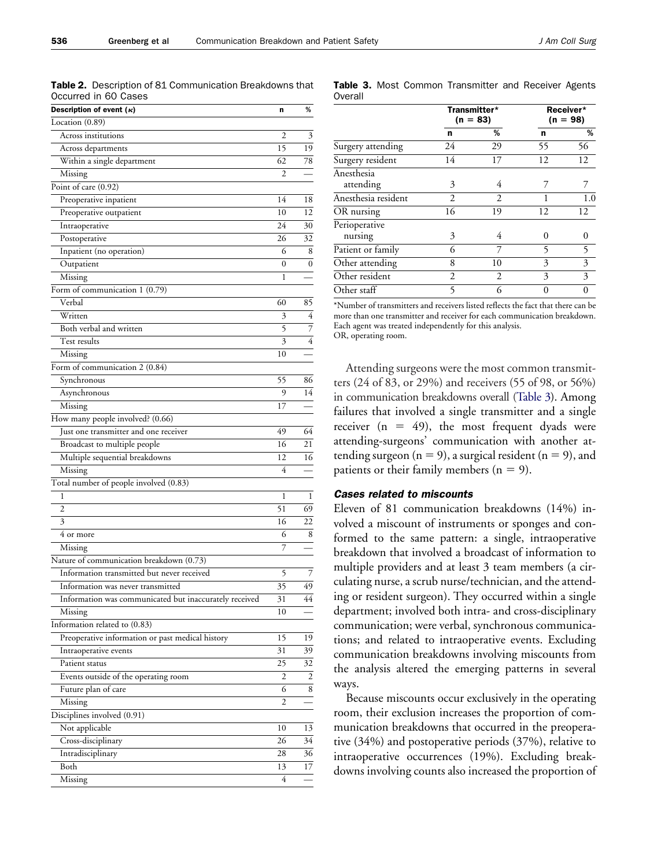<span id="page-3-0"></span>Table 2. Description of 81 Communication Breakdowns that Occurred in 60 Cases

| Description of event $(\kappa)$                        | n              | %  |
|--------------------------------------------------------|----------------|----|
| Location (0.89)                                        |                |    |
| Across institutions                                    | $\overline{c}$ | 3  |
| Across departments                                     | 15             | 19 |
| Within a single department                             | 62             | 78 |
| Missing                                                | 2              |    |
| Point of care (0.92)                                   |                |    |
| Preoperative inpatient                                 | 14             | 18 |
| Preoperative outpatient                                | 10             | 12 |
| Intraoperative                                         | 24             | 30 |
| Postoperative                                          | 26             | 32 |
| Inpatient (no operation)                               | 6              | 8  |
| Outpatient                                             | 0              | 0  |
| Missing                                                | 1              |    |
| Form of communication 1 (0.79)                         |                |    |
| Verbal                                                 | 60             | 85 |
| Written                                                | 3              | 4  |
| Both verbal and written                                | 5              | 7  |
| Test results                                           | 3              | 4  |
| Missing                                                | 10             |    |
| Form of communication 2 (0.84)                         |                |    |
| Synchronous                                            | 55             | 86 |
| Asynchronous                                           | 9              | 14 |
| Missing                                                | 17             |    |
| How many people involved? (0.66)                       |                |    |
| Just one transmitter and one receiver                  | 49             | 64 |
| Broadcast to multiple people                           | 16             | 21 |
| Multiple sequential breakdowns                         | 12             | 16 |
| Missing                                                | 4              |    |
| Total number of people involved (0.83)                 |                |    |
| 1                                                      | 1              | 1  |
| 2                                                      | 51             | 69 |
| 3                                                      | 16             | 22 |
| 4 or more                                              | 6              | 8  |
| Missing                                                | 7              |    |
| Nature of communication breakdown (0.73)               |                |    |
| Information transmitted but never received             | 5              | 7  |
| Information was never transmitted                      | 35             | 49 |
| Information was communicated but inaccurately received | 31             | 44 |
|                                                        | 10             |    |
| Missing<br>Information related to (0.83)               |                |    |
|                                                        | 15             | 19 |
| Preoperative information or past medical history       |                |    |
| Intraoperative events<br>Patient status                | 31             | 39 |
|                                                        | 25             | 32 |
| Events outside of the operating room                   | 2              | 2  |
| Future plan of care                                    | 6              | 8  |
| Missing                                                | 2              |    |
| Disciplines involved (0.91)                            |                |    |
| Not applicable                                         | 10             | 13 |
| Cross-disciplinary                                     | 26             | 34 |
| Intradisciplinary                                      | 28             | 36 |
| Both                                                   | 13             | 17 |
| Missing                                                | 4              |    |

|         |  | Table 3. Most Common Transmitter and Receiver Agents |  |  |
|---------|--|------------------------------------------------------|--|--|
| Overall |  |                                                      |  |  |

|                     | Transmitter*<br>$(n = 83)$ |                | Receiver*<br>$(n = 98)$ |     |
|---------------------|----------------------------|----------------|-------------------------|-----|
|                     | n                          | %              | n                       | %   |
| Surgery attending   | 24                         | 29             | 55                      | 56  |
| Surgery resident    | 14                         | 17             | 12                      | 12  |
| Anesthesia          |                            |                |                         |     |
| attending           | 3                          | 4              |                         |     |
| Anesthesia resident | 2                          | $\overline{c}$ |                         | 1.0 |
| OR nursing          | 16                         | 19             | 12                      | 12  |
| Perioperative       |                            |                |                         |     |
| nursing             | 3                          | 4              | 0                       | 0   |
| Patient or family   | 6                          | 7              | 5                       | 5   |
| Other attending     | 8                          | 10             | 3                       | 3   |
| Other resident      | 2                          | $\mathfrak{D}$ | 3                       | 3   |
| Other staff         | 5                          | 6              | 0                       |     |

\*Number of transmitters and receivers listed reflects the fact that there can be more than one transmitter and receiver for each communication breakdown. Each agent was treated independently for this analysis. OR, operating room.

Attending surgeons were the most common transmitters (24 of 83, or 29%) and receivers (55 of 98, or 56%) in communication breakdowns overall (Table 3). Among failures that involved a single transmitter and a single receiver  $(n = 49)$ , the most frequent dyads were attending-surgeons' communication with another attending surgeon ( $n = 9$ ), a surgical resident ( $n = 9$ ), and patients or their family members ( $n = 9$ ).

#### *Cases related to miscounts*

Eleven of 81 communication breakdowns (14%) involved a miscount of instruments or sponges and conformed to the same pattern: a single, intraoperative breakdown that involved a broadcast of information to multiple providers and at least 3 team members (a circulating nurse, a scrub nurse/technician, and the attending or resident surgeon). They occurred within a single department; involved both intra- and cross-disciplinary communication; were verbal, synchronous communications; and related to intraoperative events. Excluding communication breakdowns involving miscounts from the analysis altered the emerging patterns in several ways.

Because miscounts occur exclusively in the operating room, their exclusion increases the proportion of communication breakdowns that occurred in the preoperative (34%) and postoperative periods (37%), relative to intraoperative occurrences (19%). Excluding breakdowns involving counts also increased the proportion of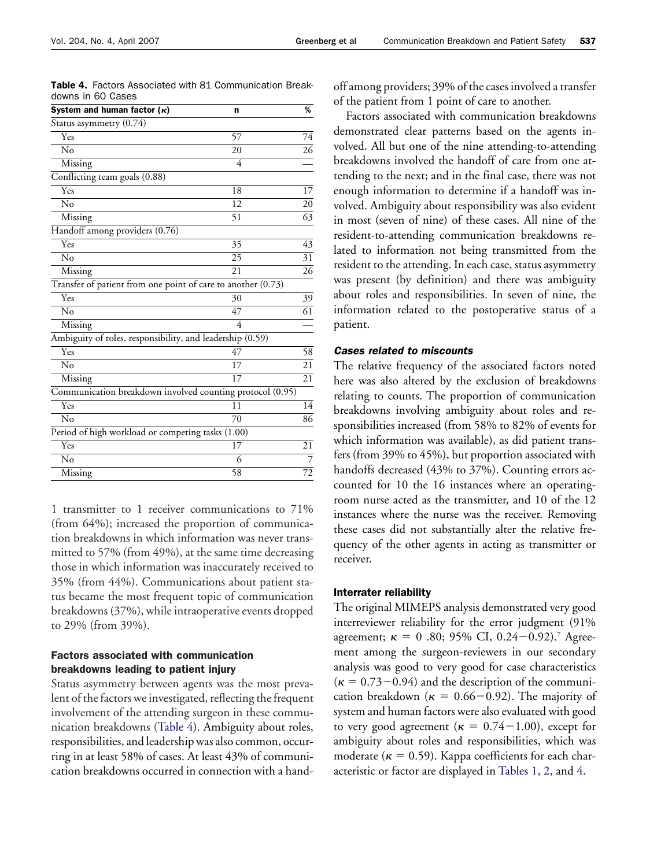| System and human factor $(\kappa)$                           | n        | %               |  |
|--------------------------------------------------------------|----------|-----------------|--|
| Status asymmetry (0.74)                                      |          |                 |  |
| Yes                                                          | 57       | 74              |  |
| No                                                           | 20       | 26              |  |
| Missing                                                      | 4        |                 |  |
| Conflicting team goals (0.88)                                |          |                 |  |
| Yes                                                          | 18       | 17              |  |
| No                                                           | 12       | 20              |  |
| Missing                                                      | 51       | 63              |  |
| Handoff among providers (0.76)                               |          |                 |  |
| Yes                                                          | 35       | 43              |  |
| No                                                           | 25       | 31              |  |
| Missing                                                      | 21       | 26              |  |
| Transfer of patient from one point of care to another (0.73) |          |                 |  |
| Yes                                                          | 30       | 39              |  |
| No                                                           | 47       | $\overline{61}$ |  |
| Missing                                                      | 4        |                 |  |
| Ambiguity of roles, responsibility, and leadership (0.59)    |          |                 |  |
| Yes                                                          | 47       | 58              |  |
| No                                                           | 17       | 21              |  |
| Missing                                                      | 17       | 21              |  |
| Communication breakdown involved counting protocol (0.95)    |          |                 |  |
| Yes                                                          | 11       | 14              |  |
| No                                                           | 70       | 86              |  |
| Period of high workload or competing tasks (1.00)            |          |                 |  |
| Yes                                                          | 17       | 21              |  |
| No                                                           | 6        | 7               |  |
| Missing                                                      | 58<br>72 |                 |  |

Table 4. Factors Associated with 81 Communication Breakdowns in 60 Cases

1 transmitter to 1 receiver communications to 71% (from 64%); increased the proportion of communication breakdowns in which information was never transmitted to 57% (from 49%), at the same time decreasing those in which information was inaccurately received to 35% (from 44%). Communications about patient status became the most frequent topic of communication breakdowns (37%), while intraoperative events dropped to 29% (from 39%).

## Factors associated with communication breakdowns leading to patient injury

Status asymmetry between agents was the most prevalent of the factors we investigated, reflecting the frequent involvement of the attending surgeon in these communication breakdowns (Table 4). Ambiguity about roles, responsibilities, and leadership was also common, occurring in at least 58% of cases. At least 43% of communication breakdowns occurred in connection with a handoff among providers; 39% of the cases involved a transfer of the patient from 1 point of care to another.

Factors associated with communication breakdowns demonstrated clear patterns based on the agents involved. All but one of the nine attending-to-attending breakdowns involved the handoff of care from one attending to the next; and in the final case, there was not enough information to determine if a handoff was involved. Ambiguity about responsibility was also evident in most (seven of nine) of these cases. All nine of the resident-to-attending communication breakdowns related to information not being transmitted from the resident to the attending. In each case, status asymmetry was present (by definition) and there was ambiguity about roles and responsibilities. In seven of nine, the information related to the postoperative status of a patient.

## *Cases related to miscounts*

The relative frequency of the associated factors noted here was also altered by the exclusion of breakdowns relating to counts. The proportion of communication breakdowns involving ambiguity about roles and responsibilities increased (from 58% to 82% of events for which information was available), as did patient transfers (from 39% to 45%), but proportion associated with handoffs decreased (43% to 37%). Counting errors accounted for 10 the 16 instances where an operatingroom nurse acted as the transmitter, and 10 of the 12 instances where the nurse was the receiver. Removing these cases did not substantially alter the relative frequency of the other agents in acting as transmitter or receiver.

#### Interrater reliability

The original MIMEPS analysis demonstrated very good interreviewer reliability for the error judgment (91% agreement;  $\kappa = 0$  .80; 95% CI, 0.24–0.92).<sup>7</sup> Agreement among the surgeon-reviewers in our secondary analysis was good to very good for case characteristics  $(\kappa = 0.73 - 0.94)$  and the description of the communication breakdown ( $\kappa = 0.66 - 0.92$ ). The majority of system and human factors were also evaluated with good to very good agreement ( $\kappa = 0.74 - 1.00$ ), except for ambiguity about roles and responsibilities, which was moderate ( $\kappa = 0.59$ ). Kappa coefficients for each characteristic or factor are displayed in [Tables 1,](#page-2-0) [2,](#page-3-0) and 4.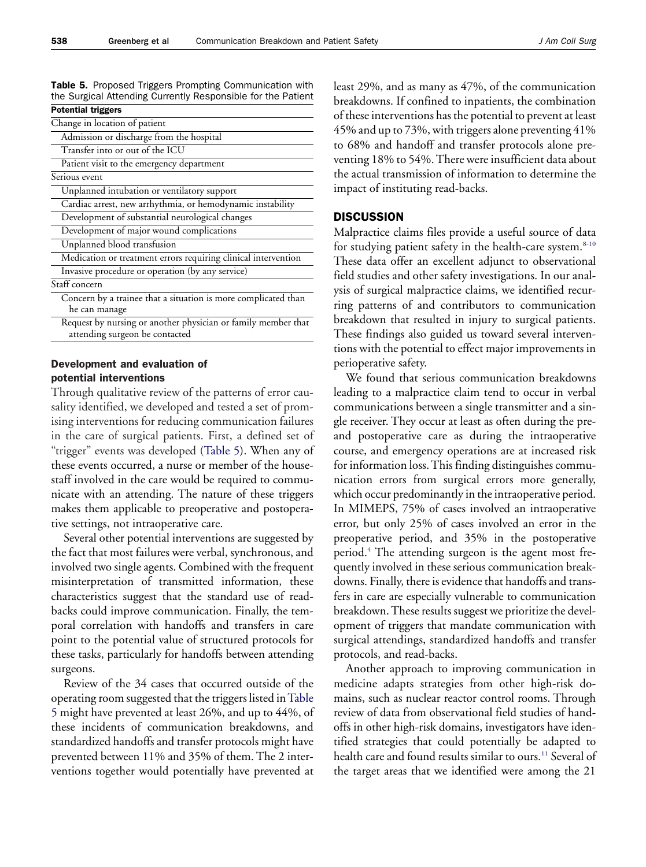Table 5. Proposed Triggers Prompting Communication with the Surgical Attending Currently Responsible for the Patient Potential triggers

| LAMAN UITEUS                                                   |
|----------------------------------------------------------------|
| Change in location of patient                                  |
| Admission or discharge from the hospital                       |
| Transfer into or out of the ICU                                |
| Patient visit to the emergency department                      |
| Serious event                                                  |
| Unplanned intubation or ventilatory support                    |
| Cardiac arrest, new arrhythmia, or hemodynamic instability     |
| Development of substantial neurological changes                |
| Development of major wound complications                       |
| Unplanned blood transfusion                                    |
| Medication or treatment errors requiring clinical intervention |
| Invasive procedure or operation (by any service)               |
| Staff concern                                                  |
| Concern by a trainee that a situation is more complicated than |
| he can manage                                                  |
| Request by nursing or another physician or family member that  |
| attending surgeon be contacted                                 |

Development and evaluation of potential interventions

Through qualitative review of the patterns of error causality identified, we developed and tested a set of promising interventions for reducing communication failures in the care of surgical patients. First, a defined set of "trigger" events was developed (Table 5). When any of these events occurred, a nurse or member of the housestaff involved in the care would be required to communicate with an attending. The nature of these triggers makes them applicable to preoperative and postoperative settings, not intraoperative care.

Several other potential interventions are suggested by the fact that most failures were verbal, synchronous, and involved two single agents. Combined with the frequent misinterpretation of transmitted information, these characteristics suggest that the standard use of readbacks could improve communication. Finally, the temporal correlation with handoffs and transfers in care point to the potential value of structured protocols for these tasks, particularly for handoffs between attending surgeons.

Review of the 34 cases that occurred outside of the operating room suggested that the triggers listed inTable 5 might have prevented at least 26%, and up to 44%, of these incidents of communication breakdowns, and standardized handoffs and transfer protocols might have prevented between 11% and 35% of them. The 2 interventions together would potentially have prevented at

least 29%, and as many as 47%, of the communication breakdowns. If confined to inpatients, the combination of these interventions has the potential to prevent at least 45% and up to 73%, with triggers alone preventing 41% to 68% and handoff and transfer protocols alone preventing 18% to 54%. There were insufficient data about the actual transmission of information to determine the impact of instituting read-backs.

## **DISCUSSION**

Malpractice claims files provide a useful source of data for studying patient safety in the health-care system.<sup>8-10</sup> These data offer an excellent adjunct to observational field studies and other safety investigations. In our analysis of surgical malpractice claims, we identified recurring patterns of and contributors to communication breakdown that resulted in injury to surgical patients. These findings also guided us toward several interventions with the potential to effect major improvements in perioperative safety.

We found that serious communication breakdowns leading to a malpractice claim tend to occur in verbal communications between a single transmitter and a single receiver. They occur at least as often during the preand postoperative care as during the intraoperative course, and emergency operations are at increased risk for information loss. This finding distinguishes communication errors from surgical errors more generally, which occur predominantly in the intraoperative period. In MIMEPS, 75% of cases involved an intraoperative error, but only 25% of cases involved an error in the preoperative period, and 35% in the postoperative period[.4](#page-7-0) The attending surgeon is the agent most frequently involved in these serious communication breakdowns. Finally, there is evidence that handoffs and transfers in care are especially vulnerable to communication breakdown. These results suggest we prioritize the development of triggers that mandate communication with surgical attendings, standardized handoffs and transfer protocols, and read-backs.

Another approach to improving communication in medicine adapts strategies from other high-risk domains, such as nuclear reactor control rooms. Through review of data from observational field studies of handoffs in other high-risk domains, investigators have identified strategies that could potentially be adapted to health care and found results similar to ours.<sup>11</sup> Several of the target areas that we identified were among the 21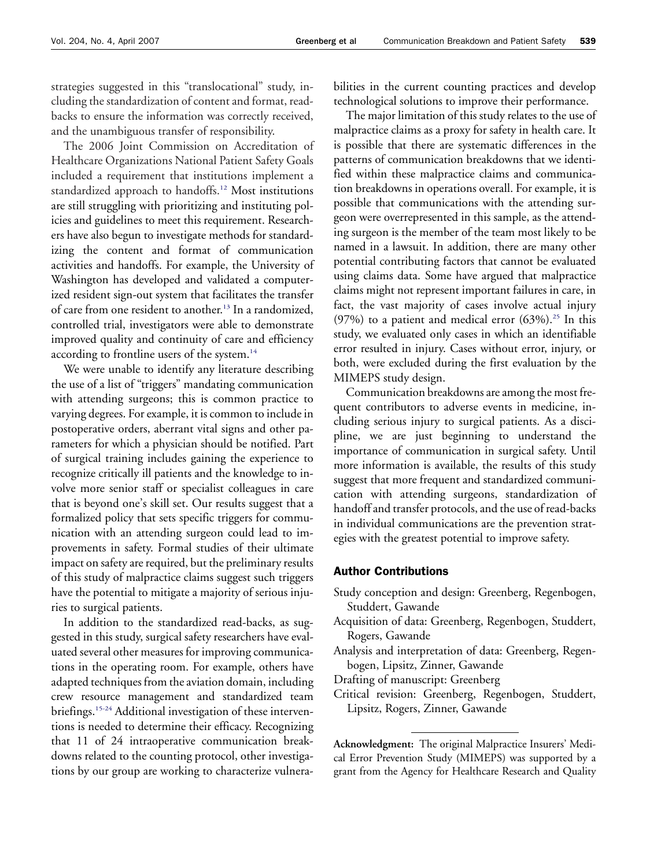strategies suggested in this "translocational" study, including the standardization of content and format, readbacks to ensure the information was correctly received, and the unambiguous transfer of responsibility.

The 2006 Joint Commission on Accreditation of Healthcare Organizations National Patient Safety Goals included a requirement that institutions implement a standardized approach to handoffs.<sup>12</sup> Most institutions are still struggling with prioritizing and instituting policies and guidelines to meet this requirement. Researchers have also begun to investigate methods for standardizing the content and format of communication activities and handoffs. For example, the University of Washington has developed and validated a computerized resident sign-out system that facilitates the transfer of care from one resident to another[.13](#page-7-0) In a randomized, controlled trial, investigators were able to demonstrate improved quality and continuity of care and efficiency according to frontline users of the system.<sup>14</sup>

We were unable to identify any literature describing the use of a list of "triggers" mandating communication with attending surgeons; this is common practice to varying degrees. For example, it is common to include in postoperative orders, aberrant vital signs and other parameters for which a physician should be notified. Part of surgical training includes gaining the experience to recognize critically ill patients and the knowledge to involve more senior staff or specialist colleagues in care that is beyond one's skill set. Our results suggest that a formalized policy that sets specific triggers for communication with an attending surgeon could lead to improvements in safety. Formal studies of their ultimate impact on safety are required, but the preliminary results of this study of malpractice claims suggest such triggers have the potential to mitigate a majority of serious injuries to surgical patients.

In addition to the standardized read-backs, as suggested in this study, surgical safety researchers have evaluated several other measures for improving communications in the operating room. For example, others have adapted techniques from the aviation domain, including crew resource management and standardized team briefings.<sup>15-24</sup> Additional investigation of these interventions is needed to determine their efficacy. Recognizing that 11 of 24 intraoperative communication breakdowns related to the counting protocol, other investigations by our group are working to characterize vulnerabilities in the current counting practices and develop technological solutions to improve their performance.

The major limitation of this study relates to the use of malpractice claims as a proxy for safety in health care. It is possible that there are systematic differences in the patterns of communication breakdowns that we identified within these malpractice claims and communication breakdowns in operations overall. For example, it is possible that communications with the attending surgeon were overrepresented in this sample, as the attending surgeon is the member of the team most likely to be named in a lawsuit. In addition, there are many other potential contributing factors that cannot be evaluated using claims data. Some have argued that malpractice claims might not represent important failures in care, in fact, the vast majority of cases involve actual injury (97%) to a patient and medical error  $(63%)$ .<sup>25</sup> In this study, we evaluated only cases in which an identifiable error resulted in injury. Cases without error, injury, or both, were excluded during the first evaluation by the MIMEPS study design.

Communication breakdowns are among the most frequent contributors to adverse events in medicine, including serious injury to surgical patients. As a discipline, we are just beginning to understand the importance of communication in surgical safety. Until more information is available, the results of this study suggest that more frequent and standardized communication with attending surgeons, standardization of handoff and transfer protocols, and the use of read-backs in individual communications are the prevention strategies with the greatest potential to improve safety.

## Author Contributions

- Study conception and design: Greenberg, Regenbogen, Studdert, Gawande
- Acquisition of data: Greenberg, Regenbogen, Studdert, Rogers, Gawande
- Analysis and interpretation of data: Greenberg, Regenbogen, Lipsitz, Zinner, Gawande
- Drafting of manuscript: Greenberg
- Critical revision: Greenberg, Regenbogen, Studdert, Lipsitz, Rogers, Zinner, Gawande

**Acknowledgment:** The original Malpractice Insurers' Medical Error Prevention Study (MIMEPS) was supported by a grant from the Agency for Healthcare Research and Quality